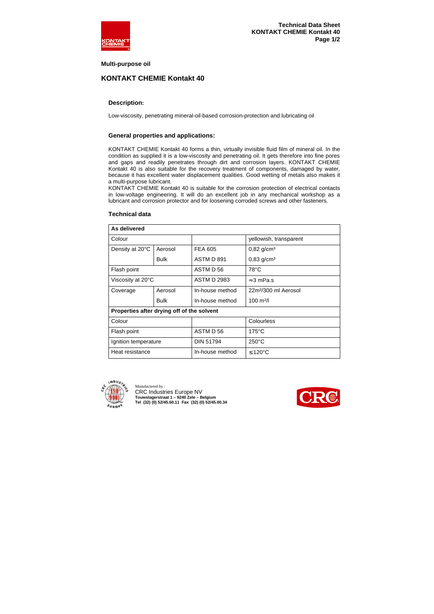

### **Multi-purpose oil**

# **KONTAKT CHEMIE Kontakt 40**

## **Description:**

Low-viscosity, penetrating mineral-oil-based corrosion-protection and lubricating oil

## **General properties and applications:**

KONTAKT CHEMIE Kontakt 40 forms a thin, virtually invisible fluid film of mineral oil. In the condition as supplied it is a low-viscosity and penetrating oil. It gets therefore into fine pores and gaps and readily penetrates through dirt and corrosion layers. KONTAKT CHEMIE Kontakt 40 is also suitable for the recovery treatment of components, damaged by water, because it has excellent water displacement qualities. Good wetting of metals also makes it a multi-purpose lubricant.

KONTAKT CHEMIE Kontakt 40 is suitable for the corrosion protection of electrical contacts in low-voltage engineering. It will do an excellent job in any mechanical workshop as a lubricant and corrosion protector and for loosening corroded screws and other fasteners.

| As delivered                               |             |                    |                                  |  |
|--------------------------------------------|-------------|--------------------|----------------------------------|--|
| Colour                                     |             |                    | yellowish, transparent           |  |
| Density at 20°C                            | Aerosol     | FEA 605            | $0,82$ g/cm <sup>3</sup>         |  |
|                                            | Bulk        | ASTM D 891         | $0,83$ g/cm <sup>3</sup>         |  |
| Flash point                                |             | ASTM D 56          | 78°C                             |  |
| Viscosity at 20°C                          |             | <b>ASTM D 2983</b> | $\approx$ 3 mPa.s                |  |
| Coverage                                   | Aerosol     | In-house method    | 22m <sup>2</sup> /300 ml Aerosol |  |
|                                            | <b>Bulk</b> | In-house method    | $100 \text{ m}^2$ /              |  |
| Properties after drying off of the solvent |             |                    |                                  |  |
| Colour                                     |             |                    | Colourless                       |  |
| Flash point                                |             | ASTM D 56          | $175^{\circ}$ C                  |  |
| Ignition temperature                       |             | DIN 51794          | $250^{\circ}$ C                  |  |
| Heat resistance                            |             | In-house method    | ≤ 120°C                          |  |
|                                            |             |                    |                                  |  |

#### **Technical data**



Manufactered by : CRC Industries Europe NV **Touwslagerstraat 1 – 9240 Zele – Belgium Tel (32) (0) 52/45.60.11 Fax (32) (0) 52/45.00.34**